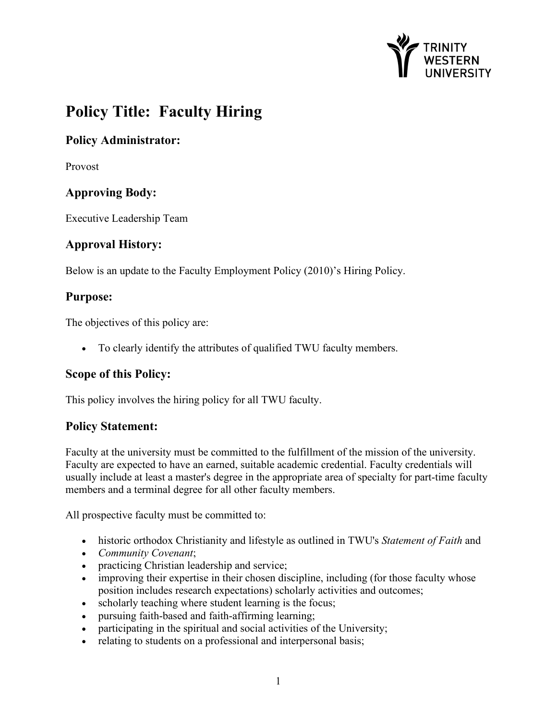

# **Policy Title: Faculty Hiring**

## **Policy Administrator:**

Provost

## **Approving Body:**

Executive Leadership Team

## **Approval History:**

Below is an update to the Faculty Employment Policy (2010)'s Hiring Policy.

## **Purpose:**

The objectives of this policy are:

• To clearly identify the attributes of qualified TWU faculty members.

#### **Scope of this Policy:**

This policy involves the hiring policy for all TWU faculty.

#### **Policy Statement:**

Faculty at the university must be committed to the fulfillment of the mission of the university. Faculty are expected to have an earned, suitable academic credential. Faculty credentials will usually include at least a master's degree in the appropriate area of specialty for part-time faculty members and a terminal degree for all other faculty members.

All prospective faculty must be committed to:

- historic orthodox Christianity and lifestyle as outlined in TWU's *Statement of Faith* and
- *Community Covenant*;
- practicing Christian leadership and service;
- improving their expertise in their chosen discipline, including (for those faculty whose position includes research expectations) scholarly activities and outcomes;
- scholarly teaching where student learning is the focus;
- pursuing faith-based and faith-affirming learning;
- participating in the spiritual and social activities of the University;
- relating to students on a professional and interpersonal basis;